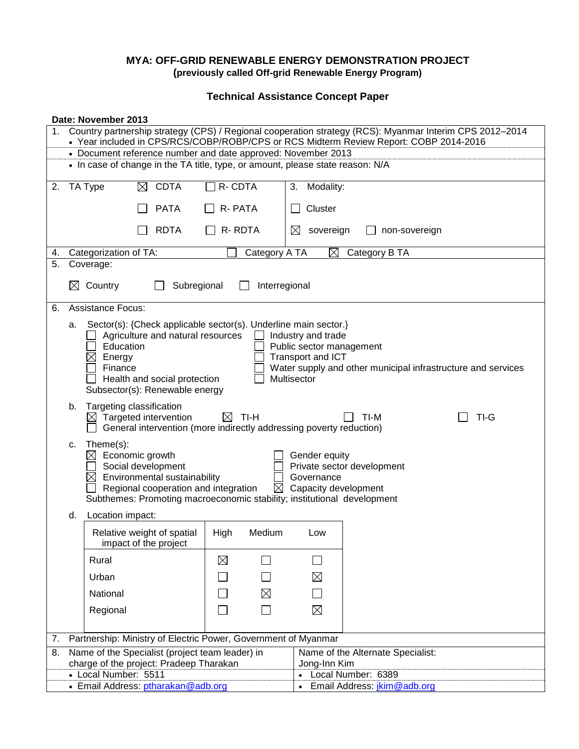### **MYA: OFF-GRID RENEWABLE ENERGY DEMONSTRATION PROJECT (previously called Off-grid Renewable Energy Program)**

**Technical Assistance Concept Paper**

|    | Date: November 2013                                                                                                                                                                              |                                                                                                                                                                                                                                                                                                                                                                |                     |                                           |  |  |
|----|--------------------------------------------------------------------------------------------------------------------------------------------------------------------------------------------------|----------------------------------------------------------------------------------------------------------------------------------------------------------------------------------------------------------------------------------------------------------------------------------------------------------------------------------------------------------------|---------------------|-------------------------------------------|--|--|
|    | Country partnership strategy (CPS) / Regional cooperation strategy (RCS): Myanmar Interim CPS 2012-2014<br>• Year included in CPS/RCS/COBP/ROBP/CPS or RCS Midterm Review Report: COBP 2014-2016 |                                                                                                                                                                                                                                                                                                                                                                |                     |                                           |  |  |
|    |                                                                                                                                                                                                  | • Document reference number and date approved: November 2013                                                                                                                                                                                                                                                                                                   |                     |                                           |  |  |
|    | • In case of change in the TA title, type, or amount, please state reason: N/A                                                                                                                   |                                                                                                                                                                                                                                                                                                                                                                |                     |                                           |  |  |
| 2. |                                                                                                                                                                                                  | <b>CDTA</b><br>TA Type<br>$\times$                                                                                                                                                                                                                                                                                                                             | R-CDTA              | Modality:<br>3.                           |  |  |
|    |                                                                                                                                                                                                  | <b>PATA</b>                                                                                                                                                                                                                                                                                                                                                    | R-PATA              | Cluster                                   |  |  |
|    |                                                                                                                                                                                                  | <b>RDTA</b>                                                                                                                                                                                                                                                                                                                                                    | R-RDTA              | $\boxtimes$<br>sovereign<br>non-sovereign |  |  |
| 4. |                                                                                                                                                                                                  | $\boxtimes$<br>Categorization of TA:<br>Category A TA<br>Category B TA                                                                                                                                                                                                                                                                                         |                     |                                           |  |  |
| 5. |                                                                                                                                                                                                  | Coverage:                                                                                                                                                                                                                                                                                                                                                      |                     |                                           |  |  |
|    | $\boxtimes$                                                                                                                                                                                      | Country<br>Subregional<br>Interregional                                                                                                                                                                                                                                                                                                                        |                     |                                           |  |  |
| 6. |                                                                                                                                                                                                  | <b>Assistance Focus:</b>                                                                                                                                                                                                                                                                                                                                       |                     |                                           |  |  |
|    | а.                                                                                                                                                                                               | Sector(s): {Check applicable sector(s). Underline main sector.}<br>Agriculture and natural resources<br>Industry and trade<br>Education<br>Public sector management<br>Transport and ICT<br>Energy<br>Finance<br>Water supply and other municipal infrastructure and services<br>Multisector<br>Health and social protection<br>Subsector(s): Renewable energy |                     |                                           |  |  |
|    | b.                                                                                                                                                                                               | Targeting classification<br>$\boxtimes$ Targeted intervention<br>General intervention (more indirectly addressing poverty reduction)                                                                                                                                                                                                                           | TI-H<br>$\boxtimes$ | TI-G<br>TI-M                              |  |  |
|    | c.                                                                                                                                                                                               | Theme(s):<br>Economic growth<br>Gender equity<br>⊠<br>Social development<br>Private sector development<br>$\boxtimes$ Environmental sustainability<br>Governance<br>Regional cooperation and integration<br>Capacity development<br>$\boxtimes$<br>Subthemes: Promoting macroeconomic stability; institutional development                                     |                     |                                           |  |  |
|    | d.                                                                                                                                                                                               | Location impact:                                                                                                                                                                                                                                                                                                                                               |                     |                                           |  |  |
|    |                                                                                                                                                                                                  | Relative weight of spatial<br>impact of the project                                                                                                                                                                                                                                                                                                            | High<br>Medium      | Low                                       |  |  |
|    |                                                                                                                                                                                                  | Rural                                                                                                                                                                                                                                                                                                                                                          | ⊠                   |                                           |  |  |
|    |                                                                                                                                                                                                  | Urban                                                                                                                                                                                                                                                                                                                                                          |                     | $\boxtimes$                               |  |  |
|    |                                                                                                                                                                                                  | National                                                                                                                                                                                                                                                                                                                                                       | $\boxtimes$         |                                           |  |  |
|    |                                                                                                                                                                                                  | Regional                                                                                                                                                                                                                                                                                                                                                       | $\blacksquare$      | $\boxtimes$                               |  |  |
|    |                                                                                                                                                                                                  |                                                                                                                                                                                                                                                                                                                                                                |                     |                                           |  |  |
| 7. |                                                                                                                                                                                                  | Partnership: Ministry of Electric Power, Government of Myanmar                                                                                                                                                                                                                                                                                                 |                     |                                           |  |  |
|    | Name of the Specialist (project team leader) in<br>Name of the Alternate Specialist:<br>8.<br>charge of the project: Pradeep Tharakan<br>Jong-Inn Kim                                            |                                                                                                                                                                                                                                                                                                                                                                |                     |                                           |  |  |
|    |                                                                                                                                                                                                  | • Local Number: 5511                                                                                                                                                                                                                                                                                                                                           |                     | • Local Number: 6389                      |  |  |
|    |                                                                                                                                                                                                  | • Email Address: ptharakan@adb.org                                                                                                                                                                                                                                                                                                                             |                     | Email Address: jkim@adb.org               |  |  |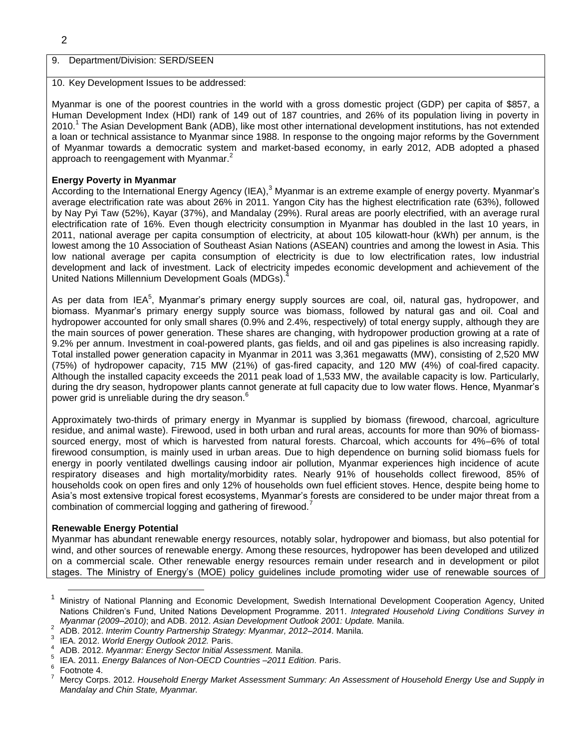### 2

#### 9. Department/Division: SERD/SEEN

#### 10. Key Development Issues to be addressed:

Myanmar is one of the poorest countries in the world with a gross domestic project (GDP) per capita of \$857, a Human Development Index (HDI) rank of 149 out of 187 countries, and 26% of its population living in poverty in 2010.<sup>1</sup> The Asian Development Bank (ADB), like most other international development institutions, has not extended a loan or technical assistance to Myanmar since 1988. In response to the ongoing major reforms by the Government of Myanmar towards a democratic system and market-based economy, in early 2012, ADB adopted a phased approach to reengagement with Myanmar.<sup>2</sup>

#### **Energy Poverty in Myanmar**

According to the International Energy Agency (IEA),<sup>3</sup> Myanmar is an extreme example of energy poverty. Myanmar's average electrification rate was about 26% in 2011. Yangon City has the highest electrification rate (63%), followed by Nay Pyi Taw (52%), Kayar (37%), and Mandalay (29%). Rural areas are poorly electrified, with an average rural electrification rate of 16%. Even though electricity consumption in Myanmar has doubled in the last 10 years, in 2011, national average per capita consumption of electricity, at about 105 kilowatt-hour (kWh) per annum, is the lowest among the 10 Association of Southeast Asian Nations (ASEAN) countries and among the lowest in Asia. This low national average per capita consumption of electricity is due to low electrification rates, low industrial development and lack of investment. Lack of electricity impedes economic development and achievement of the United Nations Millennium Development Goals (MDGs). 4

As per data from IEA<sup>5</sup>, Myanmar's primary energy supply sources are coal, oil, natural gas, hydropower, and biomass. Myanmar's primary energy supply source was biomass, followed by natural gas and oil. Coal and hydropower accounted for only small shares (0.9% and 2.4%, respectively) of total energy supply, although they are the main sources of power generation. These shares are changing, with hydropower production growing at a rate of 9.2% per annum. Investment in coal-powered plants, gas fields, and oil and gas pipelines is also increasing rapidly. Total installed power generation capacity in Myanmar in 2011 was 3,361 megawatts (MW), consisting of 2,520 MW (75%) of hydropower capacity, 715 MW (21%) of gas-fired capacity, and 120 MW (4%) of coal-fired capacity. Although the installed capacity exceeds the 2011 peak load of 1,533 MW, the available capacity is low. Particularly, during the dry season, hydropower plants cannot generate at full capacity due to low water flows. Hence, Myanmar's power grid is unreliable during the dry season.<sup>6</sup>

Approximately two-thirds of primary energy in Myanmar is supplied by biomass (firewood, charcoal, agriculture residue, and animal waste). Firewood, used in both urban and rural areas, accounts for more than 90% of biomasssourced energy, most of which is harvested from natural forests. Charcoal, which accounts for 4%–6% of total firewood consumption, is mainly used in urban areas. Due to high dependence on burning solid biomass fuels for energy in poorly ventilated dwellings causing indoor air pollution, Myanmar experiences high incidence of acute respiratory diseases and high mortality/morbidity rates. Nearly 91% of households collect firewood, 85% of households cook on open fires and only 12% of households own fuel efficient stoves. Hence, despite being home to Asia's most extensive tropical forest ecosystems, Myanmar's forests are considered to be under major threat from a combination of commercial logging and gathering of firewood.

#### **Renewable Energy Potential**

Myanmar has abundant renewable energy resources, notably solar, hydropower and biomass, but also potential for wind, and other sources of renewable energy. Among these resources, hydropower has been developed and utilized on a commercial scale. Other renewable energy resources remain under research and in development or pilot stages. The Ministry of Energy's (MOE) policy guidelines include promoting wider use of renewable sources of

<sup>1</sup> Ministry of National Planning and Economic Development, Swedish International Development Cooperation Agency, United Nations Children's Fund, United Nations Development Programme. 2011. *Integrated Household Living Conditions Survey in Myanmar (2009–2010)*; and ADB. 2012. *Asian Development Outlook 2001: Update.* Manila.

<sup>2</sup> ADB. 2012. *Interim Country Partnership Strategy: Myanmar, 2012–2014*. Manila.

<sup>3</sup> IEA. 2012. *World Energy Outlook 2012.* Paris.

<sup>4</sup> ADB. 2012. *Myanmar: Energy Sector Initial Assessment.* Manila.

<sup>5</sup> IEA. 2011. *Energy Balances of Non-OECD Countries –2011 Edition.* Paris.

<sup>6</sup> Footnote 4.

<sup>7</sup> Mercy Corps. 2012. *Household Energy Market Assessment Summary: An Assessment of Household Energy Use and Supply in Mandalay and Chin State, Myanmar.*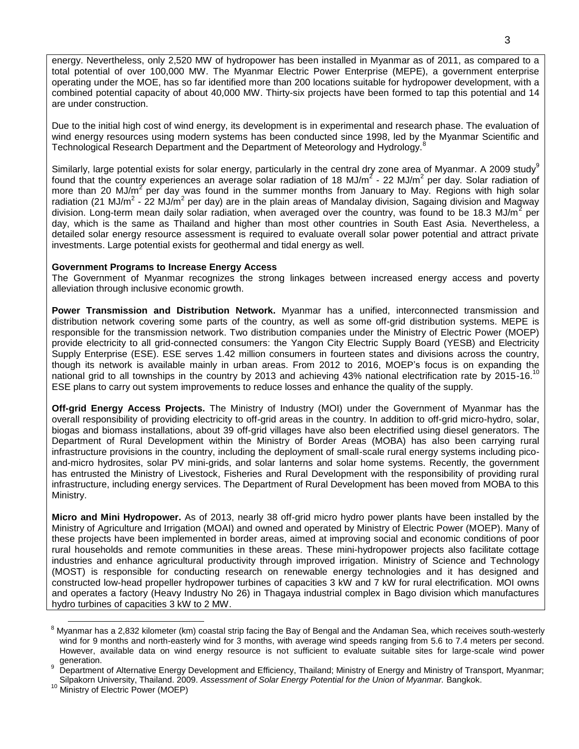energy. Nevertheless, only 2,520 MW of hydropower has been installed in Myanmar as of 2011, as compared to a total potential of over 100,000 MW. The Myanmar Electric Power Enterprise (MEPE), a government enterprise operating under the MOE, has so far identified more than 200 locations suitable for hydropower development, with a combined potential capacity of about 40,000 MW. Thirty-six projects have been formed to tap this potential and 14 are under construction.

Due to the initial high cost of wind energy, its development is in experimental and research phase. The evaluation of wind energy resources using modern systems has been conducted since 1998, led by the Myanmar Scientific and Technological Research Department and the Department of Meteorology and Hydrology.<sup>8</sup>

Similarly, large potential exists for solar energy, particularly in the central dry zone area of Myanmar. A 2009 study<sup>9</sup> found that the country experiences an average solar radiation of 18 MJ/m<sup>2</sup> - 22 MJ/m<sup>2</sup> per day. Solar radiation of more than 20 MJ/m<sup>2</sup> per day was found in the summer months from January to May. Regions with high solar radiation (21 MJ/m<sup>2</sup> - 22 MJ/m<sup>2</sup> per day) are in the plain areas of Mandalay division, Sagaing division and Magway division. Long-term mean daily solar radiation, when averaged over the country, was found to be 18.3 MJ/m<sup>2</sup> per day, which is the same as Thailand and higher than most other countries in South East Asia. Nevertheless, a detailed solar energy resource assessment is required to evaluate overall solar power potential and attract private investments. Large potential exists for geothermal and tidal energy as well.

#### **Government Programs to Increase Energy Access**

The Government of Myanmar recognizes the strong linkages between increased energy access and poverty alleviation through inclusive economic growth.

**Power Transmission and Distribution Network.** Myanmar has a unified, interconnected transmission and distribution network covering some parts of the country, as well as some off-grid distribution systems. MEPE is responsible for the transmission network. Two distribution companies under the Ministry of Electric Power (MOEP) provide electricity to all grid-connected consumers: the Yangon City Electric Supply Board (YESB) and Electricity Supply Enterprise (ESE). ESE serves 1.42 million consumers in fourteen states and divisions across the country, though its network is available mainly in urban areas. From 2012 to 2016, MOEP's focus is on expanding the national grid to all townships in the country by 2013 and achieving 43% national electrification rate by 2015-16.<sup>10</sup> ESE plans to carry out system improvements to reduce losses and enhance the quality of the supply.

**Off-grid Energy Access Projects.** The Ministry of Industry (MOI) under the Government of Myanmar has the overall responsibility of providing electricity to off-grid areas in the country. In addition to off-grid micro-hydro, solar, biogas and biomass installations, about 39 off-grid villages have also been electrified using diesel generators. The Department of Rural Development within the Ministry of Border Areas (MOBA) has also been carrying rural infrastructure provisions in the country, including the deployment of small-scale rural energy systems including picoand-micro hydrosites, solar PV mini-grids, and solar lanterns and solar home systems. Recently, the government has entrusted the Ministry of Livestock, Fisheries and Rural Development with the responsibility of providing rural infrastructure, including energy services. The Department of Rural Development has been moved from MOBA to this Ministry.

**Micro and Mini Hydropower.** As of 2013, nearly 38 off-grid micro hydro power plants have been installed by the Ministry of Agriculture and Irrigation (MOAI) and owned and operated by Ministry of Electric Power (MOEP). Many of these projects have been implemented in border areas, aimed at improving social and economic conditions of poor rural households and remote communities in these areas. These mini-hydropower projects also facilitate cottage industries and enhance agricultural productivity through improved irrigation. Ministry of Science and Technology (MOST) is responsible for conducting research on renewable energy technologies and it has designed and constructed low-head propeller hydropower turbines of capacities 3 kW and 7 kW for rural electrification. MOI owns and operates a factory (Heavy Industry No 26) in Thagaya industrial complex in Bago division which manufactures hydro turbines of capacities 3 kW to 2 MW.

 $8$  Myanmar has a 2,832 kilometer (km) coastal strip facing the Bay of Bengal and the Andaman Sea, which receives south-westerly wind for 9 months and north-easterly wind for 3 months, with average wind speeds ranging from 5.6 to 7.4 meters per second. However, available data on wind energy resource is not sufficient to evaluate suitable sites for large-scale wind power generation.

Department of Alternative Energy Development and Efficiency, Thailand; Ministry of Energy and Ministry of Transport, Myanmar; Silpakorn University, Thailand. 2009. *Assessment of Solar Energy Potential for the Union of Myanmar.* Bangkok.

<sup>&</sup>lt;sup>10</sup> Ministry of Electric Power (MOEP)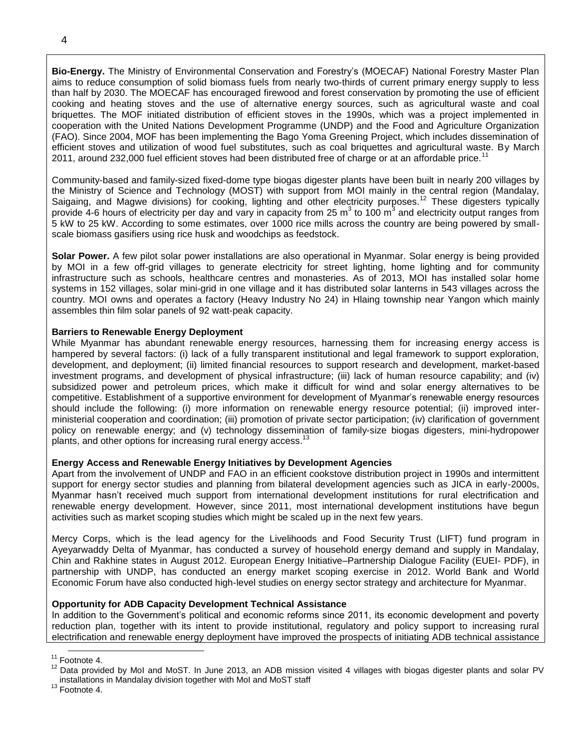**Bio-Energy.** The Ministry of Environmental Conservation and Forestry's (MOECAF) National Forestry Master Plan aims to reduce consumption of solid biomass fuels from nearly two-thirds of current primary energy supply to less than half by 2030. The MOECAF has encouraged firewood and forest conservation by promoting the use of efficient cooking and heating stoves and the use of alternative energy sources, such as agricultural waste and coal briquettes. The MOF initiated distribution of efficient stoves in the 1990s, which was a project implemented in cooperation with the United Nations Development Programme (UNDP) and the Food and Agriculture Organization (FAO). Since 2004, MOF has been implementing the Bago Yoma Greening Project, which includes dissemination of efficient stoves and utilization of wood fuel substitutes, such as coal briquettes and agricultural waste. By March 2011, around 232,000 fuel efficient stoves had been distributed free of charge or at an affordable price.<sup>1</sup>

Community-based and family-sized fixed-dome type biogas digester plants have been built in nearly 200 villages by the Ministry of Science and Technology (MOST) with support from MOI mainly in the central region (Mandalay, Saigaing, and Magwe divisions) for cooking, lighting and other electricity purposes.<sup>12</sup> These digesters typically provide 4-6 hours of electricity per day and vary in capacity from 25 m<sup>3</sup> to 100 m<sup>3</sup> and electricity output ranges from 5 kW to 25 kW. According to some estimates, over 1000 rice mills across the country are being powered by smallscale biomass gasifiers using rice husk and woodchips as feedstock.

**Solar Power.** A few pilot solar power installations are also operational in Myanmar. Solar energy is being provided by MOI in a few off-grid villages to generate electricity for street lighting, home lighting and for community infrastructure such as schools, healthcare centres and monasteries. As of 2013, MOI has installed solar home systems in 152 villages, solar mini-grid in one village and it has distributed solar lanterns in 543 villages across the country. MOI owns and operates a factory (Heavy Industry No 24) in Hlaing township near Yangon which mainly assembles thin film solar panels of 92 watt-peak capacity.

#### **Barriers to Renewable Energy Deployment**

While Myanmar has abundant renewable energy resources, harnessing them for increasing energy access is hampered by several factors: (i) lack of a fully transparent institutional and legal framework to support exploration, development, and deployment; (ii) limited financial resources to support research and development, market-based investment programs, and development of physical infrastructure; (iii) lack of human resource capability; and (iv) subsidized power and petroleum prices, which make it difficult for wind and solar energy alternatives to be competitive. Establishment of a supportive environment for development of Myanmar's renewable energy resources should include the following: (i) more information on renewable energy resource potential; (ii) improved interministerial cooperation and coordination; (iii) promotion of private sector participation; (iv) clarification of government policy on renewable energy; and (v) technology dissemination of family-size biogas digesters, mini-hydropower plants, and other options for increasing rural energy access.<sup>13</sup>

#### **Energy Access and Renewable Energy Initiatives by Development Agencies**

Apart from the involvement of UNDP and FAO in an efficient cookstove distribution project in 1990s and intermittent support for energy sector studies and planning from bilateral development agencies such as JICA in early-2000s, Myanmar hasn't received much support from international development institutions for rural electrification and renewable energy development. However, since 2011, most international development institutions have begun activities such as market scoping studies which might be scaled up in the next few years.

Mercy Corps, which is the lead agency for the Livelihoods and Food Security Trust (LIFT) fund program in Ayeyarwaddy Delta of Myanmar, has conducted a survey of household energy demand and supply in Mandalay, Chin and Rakhine states in August 2012. European Energy Initiative–Partnership Dialogue Facility (EUEI- PDF), in partnership with UNDP, has conducted an energy market scoping exercise in 2012. World Bank and World Economic Forum have also conducted high-level studies on energy sector strategy and architecture for Myanmar.

#### **Opportunity for ADB Capacity Development Technical Assistance**

In addition to the Government's political and economic reforms since 2011, its economic development and poverty reduction plan, together with its intent to provide institutional, regulatory and policy support to increasing rural electrification and renewable energy deployment have improved the prospects of initiating ADB technical assistance

 $\overline{a}$  $11$  Footnote 4.

 $12$  Data provided by MoI and MoST. In June 2013, an ADB mission visited 4 villages with biogas digester plants and solar PV installations in Mandalay division together with MoI and MoST staff

<sup>&</sup>lt;sup>13</sup> Footnote 4.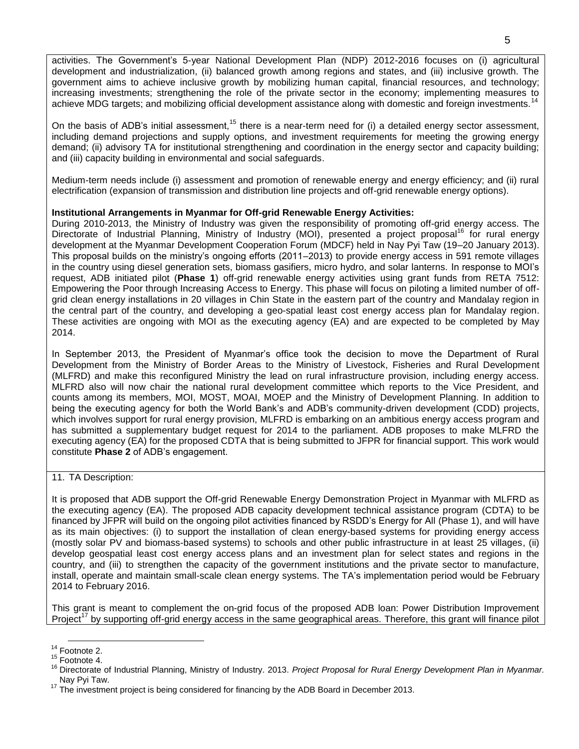activities. The Government's 5-year National Development Plan (NDP) 2012-2016 focuses on (i) agricultural development and industrialization, (ii) balanced growth among regions and states, and (iii) inclusive growth. The government aims to achieve inclusive growth by mobilizing human capital, financial resources, and technology; increasing investments; strengthening the role of the private sector in the economy; implementing measures to achieve MDG targets; and mobilizing official development assistance along with domestic and foreign investments.<sup>14</sup>

On the basis of ADB's initial assessment,<sup>15</sup> there is a near-term need for (i) a detailed energy sector assessment, including demand projections and supply options, and investment requirements for meeting the growing energy demand; (ii) advisory TA for institutional strengthening and coordination in the energy sector and capacity building; and (iii) capacity building in environmental and social safeguards.

Medium-term needs include (i) assessment and promotion of renewable energy and energy efficiency; and (ii) rural electrification (expansion of transmission and distribution line projects and off-grid renewable energy options).

### **Institutional Arrangements in Myanmar for Off-grid Renewable Energy Activities:**

During 2010-2013, the Ministry of Industry was given the responsibility of promoting off-grid energy access. The Directorate of Industrial Planning, Ministry of Industry (MOI), presented a project proposal<sup>16</sup> for rural energy development at the Myanmar Development Cooperation Forum (MDCF) held in Nay Pyi Taw (19–20 January 2013). This proposal builds on the ministry's ongoing efforts (2011–2013) to provide energy access in 591 remote villages in the country using diesel generation sets, biomass gasifiers, micro hydro, and solar lanterns. In response to MOI's request, ADB initiated pilot (**Phase 1**) off-grid renewable energy activities using grant funds from RETA 7512: Empowering the Poor through Increasing Access to Energy. This phase will focus on piloting a limited number of offgrid clean energy installations in 20 villages in Chin State in the eastern part of the country and Mandalay region in the central part of the country, and developing a geo-spatial least cost energy access plan for Mandalay region. These activities are ongoing with MOI as the executing agency (EA) and are expected to be completed by May 2014.

In September 2013, the President of Myanmar's office took the decision to move the Department of Rural Development from the Ministry of Border Areas to the Ministry of Livestock, Fisheries and Rural Development (MLFRD) and make this reconfigured Ministry the lead on rural infrastructure provision, including energy access. MLFRD also will now chair the national rural development committee which reports to the Vice President, and counts among its members, MOI, MOST, MOAI, MOEP and the Ministry of Development Planning. In addition to being the executing agency for both the World Bank's and ADB's community-driven development (CDD) projects, which involves support for rural energy provision, MLFRD is embarking on an ambitious energy access program and has submitted a supplementary budget request for 2014 to the parliament. ADB proposes to make MLFRD the executing agency (EA) for the proposed CDTA that is being submitted to JFPR for financial support. This work would constitute **Phase 2** of ADB's engagement.

11. TA Description:

It is proposed that ADB support the Off-grid Renewable Energy Demonstration Project in Myanmar with MLFRD as the executing agency (EA). The proposed ADB capacity development technical assistance program (CDTA) to be financed by JFPR will build on the ongoing pilot activities financed by RSDD's Energy for All (Phase 1), and will have as its main objectives: (i) to support the installation of clean energy-based systems for providing energy access (mostly solar PV and biomass-based systems) to schools and other public infrastructure in at least 25 villages, (ii) develop geospatial least cost energy access plans and an investment plan for select states and regions in the country, and (iii) to strengthen the capacity of the government institutions and the private sector to manufacture, install, operate and maintain small-scale clean energy systems. The TA's implementation period would be February 2014 to February 2016.

This grant is meant to complement the on-grid focus of the proposed ADB loan: Power Distribution Improvement Project<sup>17</sup> by supporting off-grid energy access in the same geographical areas. Therefore, this grant will finance pilot

  $14$  Footnote 2.

<sup>15</sup> Footnote 4.

<sup>16</sup> Directorate of Industrial Planning, Ministry of Industry. 2013. *Project Proposal for Rural Energy Development Plan in Myanmar.* Nay Pyi Taw.

 $17$  The investment project is being considered for financing by the ADB Board in December 2013.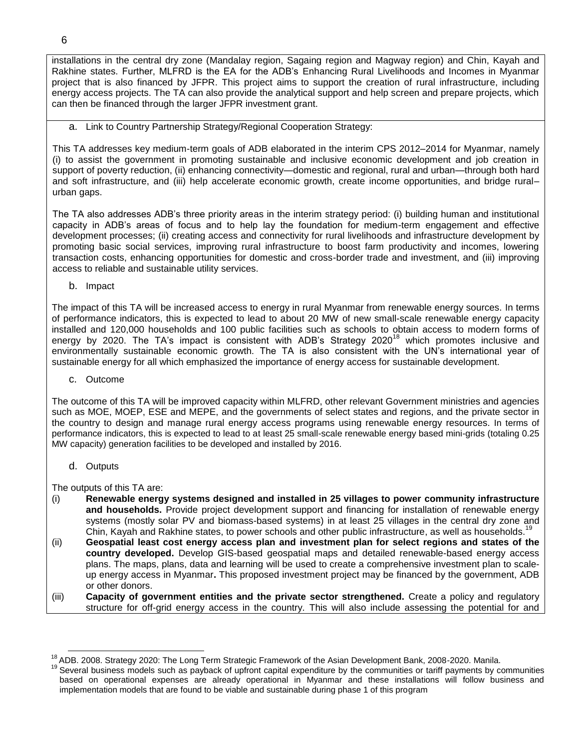installations in the central dry zone (Mandalay region, Sagaing region and Magway region) and Chin, Kayah and Rakhine states. Further, MLFRD is the EA for the ADB's Enhancing Rural Livelihoods and Incomes in Myanmar project that is also financed by JFPR. This project aims to support the creation of rural infrastructure, including energy access projects. The TA can also provide the analytical support and help screen and prepare projects, which can then be financed through the larger JFPR investment grant.

a. Link to Country Partnership Strategy/Regional Cooperation Strategy:

This TA addresses key medium-term goals of ADB elaborated in the interim CPS 2012–2014 for Myanmar, namely (i) to assist the government in promoting sustainable and inclusive economic development and job creation in support of poverty reduction, (ii) enhancing connectivity—domestic and regional, rural and urban—through both hard and soft infrastructure, and (iii) help accelerate economic growth, create income opportunities, and bridge rural– urban gaps.

The TA also addresses ADB's three priority areas in the interim strategy period: (i) building human and institutional capacity in ADB's areas of focus and to help lay the foundation for medium-term engagement and effective development processes; (ii) creating access and connectivity for rural livelihoods and infrastructure development by promoting basic social services, improving rural infrastructure to boost farm productivity and incomes, lowering transaction costs, enhancing opportunities for domestic and cross-border trade and investment, and (iii) improving access to reliable and sustainable utility services.

b. Impact

The impact of this TA will be increased access to energy in rural Myanmar from renewable energy sources. In terms of performance indicators, this is expected to lead to about 20 MW of new small-scale renewable energy capacity installed and 120,000 households and 100 public facilities such as schools to obtain access to modern forms of energy by 2020. The TA's impact is consistent with ADB's Strategy 2020<sup>18</sup> which promotes inclusive and environmentally sustainable economic growth. The TA is also consistent with the UN's international year of sustainable energy for all which emphasized the importance of energy access for sustainable development.

c. Outcome

The outcome of this TA will be improved capacity within MLFRD, other relevant Government ministries and agencies such as MOE, MOEP, ESE and MEPE, and the governments of select states and regions, and the private sector in the country to design and manage rural energy access programs using renewable energy resources. In terms of performance indicators, this is expected to lead to at least 25 small-scale renewable energy based mini-grids (totaling 0.25 MW capacity) generation facilities to be developed and installed by 2016.

d. Outputs

 $\overline{a}$ 

The outputs of this TA are:

- (i) **Renewable energy systems designed and installed in 25 villages to power community infrastructure and households.** Provide project development support and financing for installation of renewable energy systems (mostly solar PV and biomass-based systems) in at least 25 villages in the central dry zone and Chin, Kayah and Rakhine states, to power schools and other public infrastructure, as well as households.<sup>1</sup>
- (ii) **Geospatial least cost energy access plan and investment plan for select regions and states of the country developed.** Develop GIS-based geospatial maps and detailed renewable-based energy access plans. The maps, plans, data and learning will be used to create a comprehensive investment plan to scaleup energy access in Myanmar**.** This proposed investment project may be financed by the government, ADB or other donors.
- (iii) **Capacity of government entities and the private sector strengthened.** Create a policy and regulatory structure for off-grid energy access in the country. This will also include assessing the potential for and

<sup>&</sup>lt;sup>18</sup> ADB. 2008. Strategy 2020: The Long Term Strategic Framework of the Asian Development Bank, 2008-2020. Manila.

<sup>&</sup>lt;sup>19</sup> Several business models such as payback of upfront capital expenditure by the communities or tariff payments by communities based on operational expenses are already operational in Myanmar and these installations will follow business and implementation models that are found to be viable and sustainable during phase 1 of this program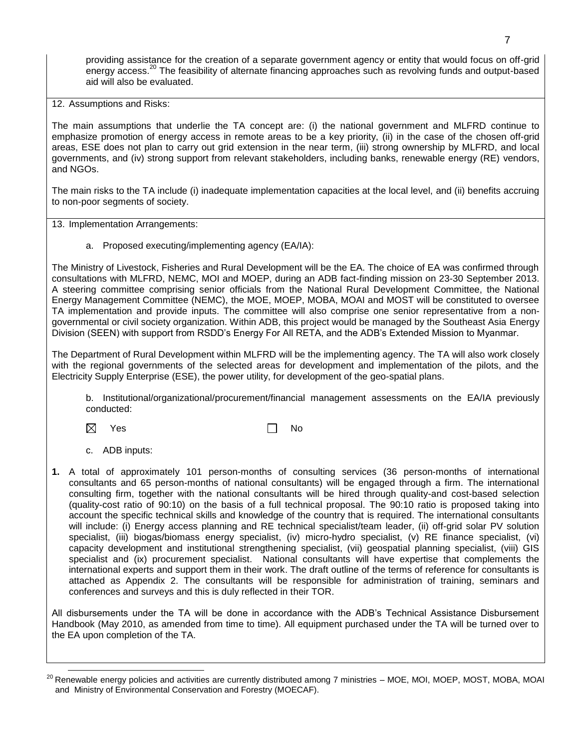providing assistance for the creation of a separate government agency or entity that would focus on off-grid energy access.<sup>20</sup> The feasibility of alternate financing approaches such as revolving funds and output-based aid will also be evaluated.

12. Assumptions and Risks:

The main assumptions that underlie the TA concept are: (i) the national government and MLFRD continue to emphasize promotion of energy access in remote areas to be a key priority, (ii) in the case of the chosen off-grid areas, ESE does not plan to carry out grid extension in the near term, (iii) strong ownership by MLFRD, and local governments, and (iv) strong support from relevant stakeholders, including banks, renewable energy (RE) vendors, and NGOs.

The main risks to the TA include (i) inadequate implementation capacities at the local level, and (ii) benefits accruing to non-poor segments of society.

13. Implementation Arrangements:

a. Proposed executing/implementing agency (EA/IA):

The Ministry of Livestock, Fisheries and Rural Development will be the EA. The choice of EA was confirmed through consultations with MLFRD, NEMC, MOI and MOEP, during an ADB fact-finding mission on 23-30 September 2013. A steering committee comprising senior officials from the National Rural Development Committee, the National Energy Management Committee (NEMC), the MOE, MOEP, MOBA, MOAI and MOST will be constituted to oversee TA implementation and provide inputs. The committee will also comprise one senior representative from a nongovernmental or civil society organization. Within ADB, this project would be managed by the Southeast Asia Energy Division (SEEN) with support from RSDD's Energy For All RETA, and the ADB's Extended Mission to Myanmar.

The Department of Rural Development within MLFRD will be the implementing agency. The TA will also work closely with the regional governments of the selected areas for development and implementation of the pilots, and the Electricity Supply Enterprise (ESE), the power utility, for development of the geo-spatial plans.

b. Institutional/organizational/procurement/financial management assessments on the EA/IA previously conducted:

 $\boxtimes$  Yes  $\Box$  No

- c. ADB inputs:
- **1.** A total of approximately 101 person-months of consulting services (36 person-months of international consultants and 65 person-months of national consultants) will be engaged through a firm. The international consulting firm, together with the national consultants will be hired through quality-and cost-based selection (quality-cost ratio of 90:10) on the basis of a full technical proposal. The 90:10 ratio is proposed taking into account the specific technical skills and knowledge of the country that is required. The international consultants will include: (i) Energy access planning and RE technical specialist/team leader, (ii) off-grid solar PV solution specialist, (iii) biogas/biomass energy specialist, (iv) micro-hydro specialist, (v) RE finance specialist, (vi) capacity development and institutional strengthening specialist, (vii) geospatial planning specialist, (viii) GIS specialist and (ix) procurement specialist. National consultants will have expertise that complements the international experts and support them in their work. The draft outline of the terms of reference for consultants is attached as Appendix 2. The consultants will be responsible for administration of training, seminars and conferences and surveys and this is duly reflected in their TOR.

All disbursements under the TA will be done in accordance with the ADB's Technical Assistance Disbursement Handbook (May 2010, as amended from time to time). All equipment purchased under the TA will be turned over to the EA upon completion of the TA.

<sup>&</sup>lt;sup>20</sup> Renewable energy policies and activities are currently distributed among 7 ministries – MOE, MOI, MOEP, MOST, MOBA, MOAI and Ministry of Environmental Conservation and Forestry (MOECAF).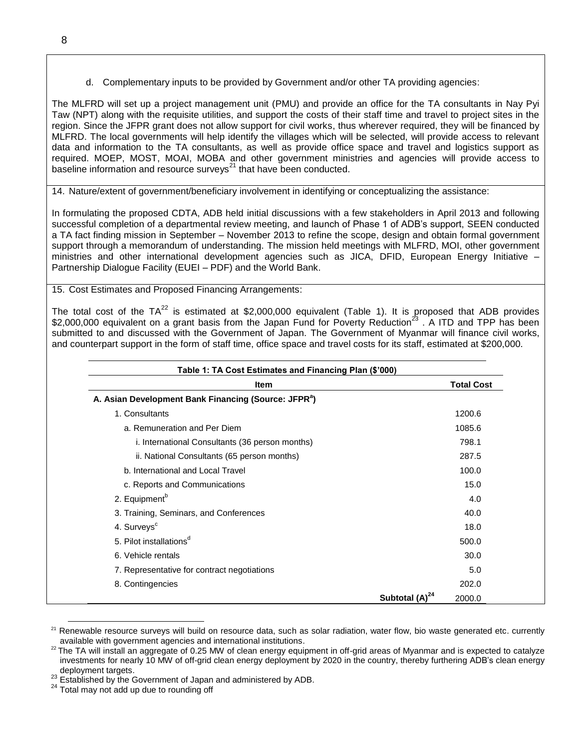d. Complementary inputs to be provided by Government and/or other TA providing agencies:

The MLFRD will set up a project management unit (PMU) and provide an office for the TA consultants in Nay Pyi Taw (NPT) along with the requisite utilities, and support the costs of their staff time and travel to project sites in the region. Since the JFPR grant does not allow support for civil works, thus wherever required, they will be financed by MLFRD. The local governments will help identify the villages which will be selected, will provide access to relevant data and information to the TA consultants, as well as provide office space and travel and logistics support as required. MOEP, MOST, MOAI, MOBA and other government ministries and agencies will provide access to baseline information and resource surveys $^{21}$  that have been conducted.

14. Nature/extent of government/beneficiary involvement in identifying or conceptualizing the assistance:

In formulating the proposed CDTA, ADB held initial discussions with a few stakeholders in April 2013 and following successful completion of a departmental review meeting, and launch of Phase 1 of ADB's support, SEEN conducted a TA fact finding mission in September – November 2013 to refine the scope, design and obtain formal government support through a memorandum of understanding. The mission held meetings with MLFRD, MOI, other government ministries and other international development agencies such as JICA, DFID, European Energy Initiative – Partnership Dialogue Facility (EUEI – PDF) and the World Bank.

15. Cost Estimates and Proposed Financing Arrangements:

The total cost of the  $TA^{22}$  is estimated at \$2,000,000 equivalent (Table 1). It is proposed that ADB provides \$2,000,000 equivalent on a grant basis from the Japan Fund for Poverty Reduction<sup>23</sup>. A ITD and TPP has been submitted to and discussed with the Government of Japan. The Government of Myanmar will finance civil works, and counterpart support in the form of staff time, office space and travel costs for its staff, estimated at \$200,000.

| <b>Item</b>                                                      |                            | <b>Total Cost</b> |
|------------------------------------------------------------------|----------------------------|-------------------|
| A. Asian Development Bank Financing (Source: JFPR <sup>a</sup> ) |                            |                   |
| 1. Consultants                                                   |                            | 1200.6            |
| a. Remuneration and Per Diem                                     |                            | 1085.6            |
| i. International Consultants (36 person months)                  |                            | 798.1             |
| ii. National Consultants (65 person months)                      |                            | 287.5             |
| b. International and Local Travel                                |                            | 100.0             |
| c. Reports and Communications                                    |                            | 15.0              |
| 2. Equipment <sup>b</sup>                                        |                            | 4.0               |
| 3. Training, Seminars, and Conferences                           |                            | 40.0              |
| 4. Surveys <sup>c</sup>                                          |                            | 18.0              |
| 5. Pilot installations <sup>d</sup>                              |                            | 500.0             |
| 6. Vehicle rentals                                               |                            | 30.0              |
| 7. Representative for contract negotiations                      |                            | 5.0               |
| 8. Contingencies                                                 |                            | 202.0             |
|                                                                  | Subtotal (A) <sup>24</sup> | 2000.0            |

 <sup>21</sup> Renewable resource surveys will build on resource data, such as solar radiation, water flow, bio waste generated etc. currently available with government agencies and international institutions.

<sup>&</sup>lt;sup>22</sup> The TA will install an aggregate of 0.25 MW of clean energy equipment in off-grid areas of Myanmar and is expected to catalyze investments for nearly 10 MW of off-grid clean energy deployment by 2020 in the country, thereby furthering ADB's clean energy deployment targets.

<sup>23</sup> Established by the Government of Japan and administered by ADB.

<sup>&</sup>lt;sup>24</sup> Total may not add up due to rounding off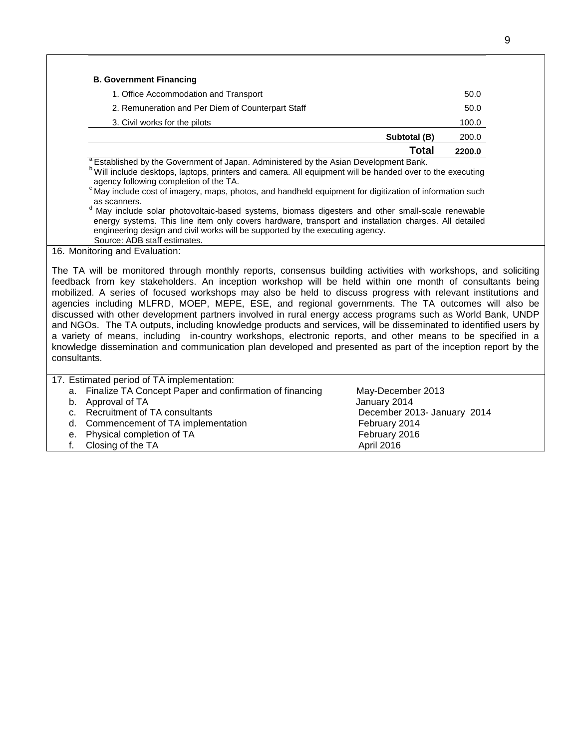|                                                   | Total        | 2200.0 |
|---------------------------------------------------|--------------|--------|
|                                                   | Subtotal (B) | 200.0  |
| 3. Civil works for the pilots                     |              | 100.0  |
| 2. Remuneration and Per Diem of Counterpart Staff |              | 50.0   |
| 1. Office Accommodation and Transport             |              | 50.0   |
| <b>B. Government Financing</b>                    |              |        |

shed by the Government of Japan. Administered by the Asian Development Bank. b Will include desktops, laptops, printers and camera. All equipment will be handed over to the executing agency following completion of the TA.

 $\degree$ May include cost of imagery, maps, photos, and handheld equipment for digitization of information such as scanners.

<sup>d</sup> May include solar photovoltaic-based systems, biomass digesters and other small-scale renewable energy systems. This line item only covers hardware, transport and installation charges. All detailed engineering design and civil works will be supported by the executing agency. Source: ADB staff estimates.

#### 16. Monitoring and Evaluation:

The TA will be monitored through monthly reports, consensus building activities with workshops, and soliciting feedback from key stakeholders. An inception workshop will be held within one month of consultants being mobilized. A series of focused workshops may also be held to discuss progress with relevant institutions and agencies including MLFRD, MOEP, MEPE, ESE, and regional governments. The TA outcomes will also be discussed with other development partners involved in rural energy access programs such as World Bank, UNDP and NGOs. The TA outputs, including knowledge products and services, will be disseminated to identified users by a variety of means, including in-country workshops, electronic reports, and other means to be specified in a knowledge dissemination and communication plan developed and presented as part of the inception report by the consultants.

| 17. Estimated period of TA implementation:                 |                             |  |  |  |
|------------------------------------------------------------|-----------------------------|--|--|--|
| a. Finalize TA Concept Paper and confirmation of financing | May-December 2013           |  |  |  |
| b. Approval of TA                                          | January 2014                |  |  |  |
| c. Recruitment of TA consultants                           | December 2013- January 2014 |  |  |  |
| d. Commencement of TA implementation                       | February 2014               |  |  |  |
| e. Physical completion of TA                               | February 2016               |  |  |  |
| f. Closing of the TA                                       | April 2016                  |  |  |  |
|                                                            |                             |  |  |  |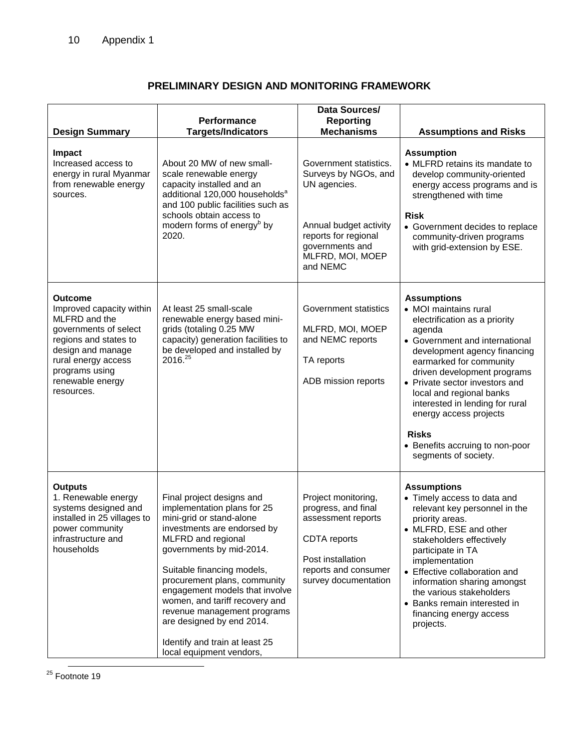# **PRELIMINARY DESIGN AND MONITORING FRAMEWORK**

| Performance<br><b>Targets/Indicators</b><br>About 20 MW of new small-<br>scale renewable energy<br>capacity installed and an<br>additional 120,000 households <sup>a</sup><br>and 100 public facilities such as<br>schools obtain access to<br>modern forms of energy <sup>b</sup> by<br>2020.                                                                                                        | <b>Reporting</b><br><b>Mechanisms</b><br>Government statistics.<br>Surveys by NGOs, and<br>UN agencies.<br>Annual budget activity<br>reports for regional<br>governments and<br>MLFRD, MOI, MOEP<br>and NEMC | <b>Assumptions and Risks</b><br><b>Assumption</b><br>• MLFRD retains its mandate to<br>develop community-oriented<br>energy access programs and is<br>strengthened with time<br><b>Risk</b><br>• Government decides to replace<br>community-driven programs<br>with grid-extension by ESE.                                                                             |
|-------------------------------------------------------------------------------------------------------------------------------------------------------------------------------------------------------------------------------------------------------------------------------------------------------------------------------------------------------------------------------------------------------|--------------------------------------------------------------------------------------------------------------------------------------------------------------------------------------------------------------|------------------------------------------------------------------------------------------------------------------------------------------------------------------------------------------------------------------------------------------------------------------------------------------------------------------------------------------------------------------------|
|                                                                                                                                                                                                                                                                                                                                                                                                       |                                                                                                                                                                                                              |                                                                                                                                                                                                                                                                                                                                                                        |
|                                                                                                                                                                                                                                                                                                                                                                                                       |                                                                                                                                                                                                              |                                                                                                                                                                                                                                                                                                                                                                        |
|                                                                                                                                                                                                                                                                                                                                                                                                       |                                                                                                                                                                                                              |                                                                                                                                                                                                                                                                                                                                                                        |
|                                                                                                                                                                                                                                                                                                                                                                                                       |                                                                                                                                                                                                              |                                                                                                                                                                                                                                                                                                                                                                        |
| At least 25 small-scale<br>renewable energy based mini-<br>grids (totaling 0.25 MW<br>capacity) generation facilities to<br>be developed and installed by<br>2016.25                                                                                                                                                                                                                                  | Government statistics<br>MLFRD, MOI, MOEP<br>and NEMC reports<br>TA reports<br>ADB mission reports                                                                                                           | <b>Assumptions</b><br>• MOI maintains rural<br>electrification as a priority<br>agenda<br>• Government and international<br>development agency financing<br>earmarked for community<br>driven development programs<br>• Private sector investors and<br>local and regional banks<br>interested in lending for rural<br>energy access projects<br><b>Risks</b>          |
|                                                                                                                                                                                                                                                                                                                                                                                                       |                                                                                                                                                                                                              | • Benefits accruing to non-poor<br>segments of society.                                                                                                                                                                                                                                                                                                                |
| Final project designs and<br>implementation plans for 25<br>mini-grid or stand-alone<br>investments are endorsed by<br>MLFRD and regional<br>governments by mid-2014.<br>Suitable financing models,<br>procurement plans, community<br>engagement models that involve<br>women, and tariff recovery and<br>revenue management programs<br>are designed by end 2014.<br>Identify and train at least 25 | Project monitoring,<br>progress, and final<br>assessment reports<br>CDTA reports<br>Post installation<br>reports and consumer<br>survey documentation                                                        | <b>Assumptions</b><br>• Timely access to data and<br>relevant key personnel in the<br>priority areas.<br>• MLFRD, ESE and other<br>stakeholders effectively<br>participate in TA<br>implementation<br>• Effective collaboration and<br>information sharing amongst<br>the various stakeholders<br>• Banks remain interested in<br>financing energy access<br>projects. |
|                                                                                                                                                                                                                                                                                                                                                                                                       |                                                                                                                                                                                                              | local equipment vendors,                                                                                                                                                                                                                                                                                                                                               |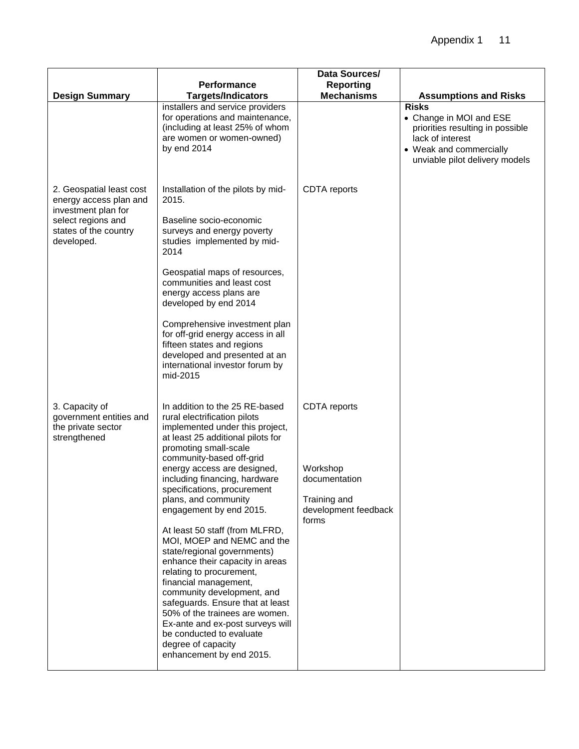|                                                                                                                                        |                                                                                                                                                                                                                                                                                                                                                                                                                                                                                                             | Data Sources/                                                                              |                                                                                                                                                              |
|----------------------------------------------------------------------------------------------------------------------------------------|-------------------------------------------------------------------------------------------------------------------------------------------------------------------------------------------------------------------------------------------------------------------------------------------------------------------------------------------------------------------------------------------------------------------------------------------------------------------------------------------------------------|--------------------------------------------------------------------------------------------|--------------------------------------------------------------------------------------------------------------------------------------------------------------|
|                                                                                                                                        | <b>Performance</b>                                                                                                                                                                                                                                                                                                                                                                                                                                                                                          | <b>Reporting</b>                                                                           |                                                                                                                                                              |
| <b>Design Summary</b>                                                                                                                  | <b>Targets/Indicators</b>                                                                                                                                                                                                                                                                                                                                                                                                                                                                                   | <b>Mechanisms</b>                                                                          | <b>Assumptions and Risks</b>                                                                                                                                 |
|                                                                                                                                        | installers and service providers<br>for operations and maintenance,<br>(including at least 25% of whom<br>are women or women-owned)<br>by end 2014                                                                                                                                                                                                                                                                                                                                                          |                                                                                            | <b>Risks</b><br>• Change in MOI and ESE<br>priorities resulting in possible<br>lack of interest<br>• Weak and commercially<br>unviable pilot delivery models |
| 2. Geospatial least cost<br>energy access plan and<br>investment plan for<br>select regions and<br>states of the country<br>developed. | Installation of the pilots by mid-<br>2015.<br>Baseline socio-economic<br>surveys and energy poverty<br>studies implemented by mid-<br>2014<br>Geospatial maps of resources,<br>communities and least cost<br>energy access plans are<br>developed by end 2014                                                                                                                                                                                                                                              | <b>CDTA</b> reports                                                                        |                                                                                                                                                              |
|                                                                                                                                        | Comprehensive investment plan<br>for off-grid energy access in all<br>fifteen states and regions<br>developed and presented at an<br>international investor forum by<br>mid-2015                                                                                                                                                                                                                                                                                                                            |                                                                                            |                                                                                                                                                              |
| 3. Capacity of<br>government entities and<br>the private sector<br>strengthened                                                        | In addition to the 25 RE-based<br>rural electrification pilots<br>implemented under this project,<br>at least 25 additional pilots for<br>promoting small-scale<br>community-based off-grid<br>energy access are designed,<br>including financing, hardware<br>specifications, procurement<br>plans, and community<br>engagement by end 2015.<br>At least 50 staff (from MLFRD,<br>MOI, MOEP and NEMC and the<br>state/regional governments)<br>enhance their capacity in areas<br>relating to procurement, | CDTA reports<br>Workshop<br>documentation<br>Training and<br>development feedback<br>forms |                                                                                                                                                              |
|                                                                                                                                        | financial management,<br>community development, and<br>safeguards. Ensure that at least<br>50% of the trainees are women.<br>Ex-ante and ex-post surveys will<br>be conducted to evaluate<br>degree of capacity<br>enhancement by end 2015.                                                                                                                                                                                                                                                                 |                                                                                            |                                                                                                                                                              |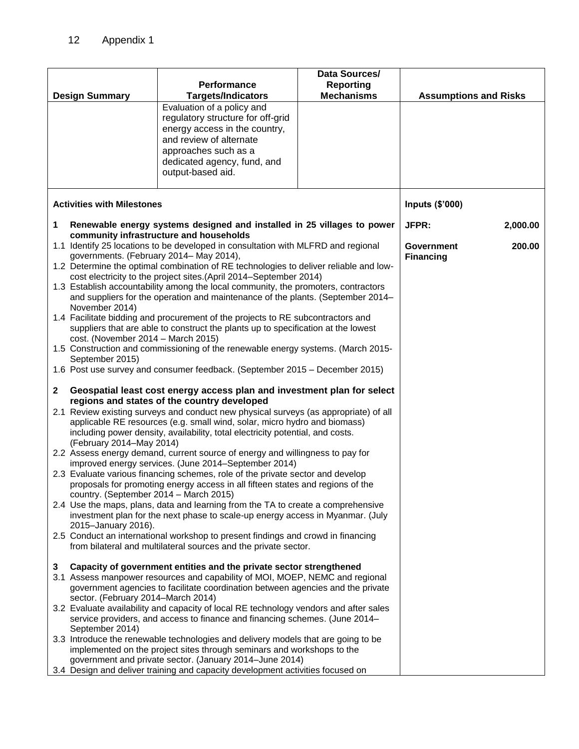|              |                                                                                                                                                                                                                                                                                                                                                                                                                                                                                                                                                                                                                                                                                                                                                                                                                                                                                                                                      | Performance                                                                                                                                                                                                                                                                                              | Data Sources/<br><b>Reporting</b> |                              |          |
|--------------|--------------------------------------------------------------------------------------------------------------------------------------------------------------------------------------------------------------------------------------------------------------------------------------------------------------------------------------------------------------------------------------------------------------------------------------------------------------------------------------------------------------------------------------------------------------------------------------------------------------------------------------------------------------------------------------------------------------------------------------------------------------------------------------------------------------------------------------------------------------------------------------------------------------------------------------|----------------------------------------------------------------------------------------------------------------------------------------------------------------------------------------------------------------------------------------------------------------------------------------------------------|-----------------------------------|------------------------------|----------|
|              | <b>Design Summary</b>                                                                                                                                                                                                                                                                                                                                                                                                                                                                                                                                                                                                                                                                                                                                                                                                                                                                                                                | <b>Targets/Indicators</b>                                                                                                                                                                                                                                                                                | <b>Mechanisms</b>                 | <b>Assumptions and Risks</b> |          |
|              |                                                                                                                                                                                                                                                                                                                                                                                                                                                                                                                                                                                                                                                                                                                                                                                                                                                                                                                                      | Evaluation of a policy and<br>regulatory structure for off-grid<br>energy access in the country,<br>and review of alternate<br>approaches such as a<br>dedicated agency, fund, and<br>output-based aid.                                                                                                  |                                   |                              |          |
|              | <b>Activities with Milestones</b>                                                                                                                                                                                                                                                                                                                                                                                                                                                                                                                                                                                                                                                                                                                                                                                                                                                                                                    | Inputs (\$'000)                                                                                                                                                                                                                                                                                          |                                   |                              |          |
| 1            |                                                                                                                                                                                                                                                                                                                                                                                                                                                                                                                                                                                                                                                                                                                                                                                                                                                                                                                                      | Renewable energy systems designed and installed in 25 villages to power                                                                                                                                                                                                                                  |                                   | JFPR:                        | 2,000.00 |
|              | community infrastructure and households<br>1.1 Identify 25 locations to be developed in consultation with MLFRD and regional<br>governments. (February 2014– May 2014),<br>1.2 Determine the optimal combination of RE technologies to deliver reliable and low-<br>cost electricity to the project sites.(April 2014–September 2014)<br>1.3 Establish accountability among the local community, the promoters, contractors<br>and suppliers for the operation and maintenance of the plants. (September 2014–<br>November 2014)<br>1.4 Facilitate bidding and procurement of the projects to RE subcontractors and<br>suppliers that are able to construct the plants up to specification at the lowest<br>cost. (November 2014 - March 2015)<br>1.5 Construction and commissioning of the renewable energy systems. (March 2015-<br>September 2015)<br>1.6 Post use survey and consumer feedback. (September 2015 - December 2015) | Government<br><b>Financing</b>                                                                                                                                                                                                                                                                           | 200.00                            |                              |          |
| $\mathbf{2}$ | Geospatial least cost energy access plan and investment plan for select<br>regions and states of the country developed                                                                                                                                                                                                                                                                                                                                                                                                                                                                                                                                                                                                                                                                                                                                                                                                               |                                                                                                                                                                                                                                                                                                          |                                   |                              |          |
|              | 2.1 Review existing surveys and conduct new physical surveys (as appropriate) of all<br>applicable RE resources (e.g. small wind, solar, micro hydro and biomass)<br>including power density, availability, total electricity potential, and costs.<br>(February 2014-May 2014)<br>2.2 Assess energy demand, current source of energy and willingness to pay for<br>improved energy services. (June 2014–September 2014)<br>2.3 Evaluate various financing schemes, role of the private sector and develop<br>proposals for promoting energy access in all fifteen states and regions of the<br>country. (September 2014 – March 2015)                                                                                                                                                                                                                                                                                               |                                                                                                                                                                                                                                                                                                          |                                   |                              |          |
|              | 2015-January 2016).                                                                                                                                                                                                                                                                                                                                                                                                                                                                                                                                                                                                                                                                                                                                                                                                                                                                                                                  | 2.4 Use the maps, plans, data and learning from the TA to create a comprehensive<br>investment plan for the next phase to scale-up energy access in Myanmar. (July                                                                                                                                       |                                   |                              |          |
|              |                                                                                                                                                                                                                                                                                                                                                                                                                                                                                                                                                                                                                                                                                                                                                                                                                                                                                                                                      | 2.5 Conduct an international workshop to present findings and crowd in financing<br>from bilateral and multilateral sources and the private sector.                                                                                                                                                      |                                   |                              |          |
| 3            | Capacity of government entities and the private sector strengthened<br>3.1 Assess manpower resources and capability of MOI, MOEP, NEMC and regional<br>government agencies to facilitate coordination between agencies and the private<br>sector. (February 2014–March 2014)<br>3.2 Evaluate availability and capacity of local RE technology vendors and after sales                                                                                                                                                                                                                                                                                                                                                                                                                                                                                                                                                                |                                                                                                                                                                                                                                                                                                          |                                   |                              |          |
|              | September 2014)                                                                                                                                                                                                                                                                                                                                                                                                                                                                                                                                                                                                                                                                                                                                                                                                                                                                                                                      | service providers, and access to finance and financing schemes. (June 2014–                                                                                                                                                                                                                              |                                   |                              |          |
|              |                                                                                                                                                                                                                                                                                                                                                                                                                                                                                                                                                                                                                                                                                                                                                                                                                                                                                                                                      | 3.3 Introduce the renewable technologies and delivery models that are going to be<br>implemented on the project sites through seminars and workshops to the<br>government and private sector. (January 2014–June 2014)<br>3.4 Design and deliver training and capacity development activities focused on |                                   |                              |          |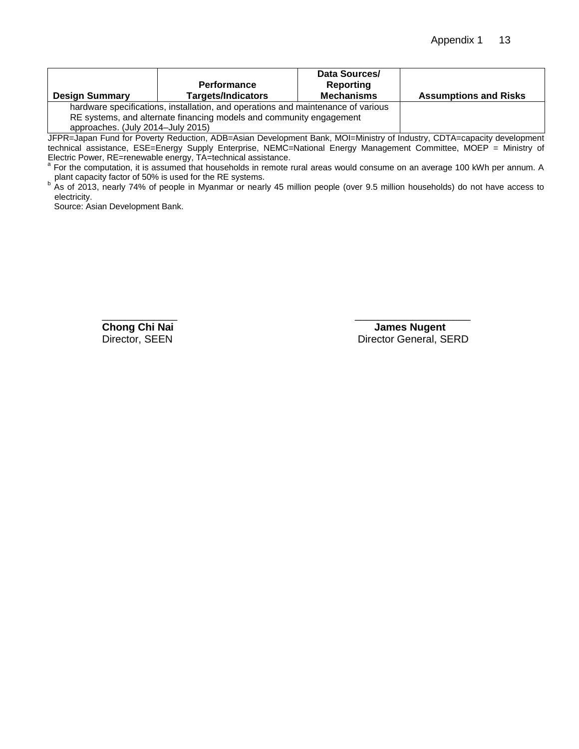| <b>Design Summary</b>                                                            | <b>Performance</b><br><b>Targets/Indicators</b> | Data Sources/<br>Reporting<br><b>Mechanisms</b> | <b>Assumptions and Risks</b> |  |
|----------------------------------------------------------------------------------|-------------------------------------------------|-------------------------------------------------|------------------------------|--|
| hardware specifications, installation, and operations and maintenance of various |                                                 |                                                 |                              |  |
| RE systems, and alternate financing models and community engagement              |                                                 |                                                 |                              |  |
| approaches. (July 2014-July 2015)                                                |                                                 |                                                 |                              |  |

JFPR=Japan Fund for Poverty Reduction, ADB=Asian Development Bank, MOI=Ministry of Industry, CDTA=capacity development technical assistance, ESE=Energy Supply Enterprise, NEMC=National Energy Management Committee, MOEP = Ministry of

Electric Power, RE=renewable energy, TA=technical assistance.<br><sup>a</sup> For the computation, it is assumed that households in remote rural areas would consume on an average 100 kWh per annum. A

plant capacity factor of 50% is used for the RE systems.<br><sup>b</sup> As of 2013, nearly 74% of people in Myanmar or nearly 45 million people (over 9.5 million households) do not have access to electricity.

Source: Asian Development Bank.

\_\_\_\_\_\_\_\_\_\_\_\_\_\_\_\_\_\_\_\_\_\_\_\_\_\_\_\_\_\_\_\_\_

**Chong Chi Nai James Nugent**<br>Director, SEEN **Director Ceneral**, SI Director General, SERD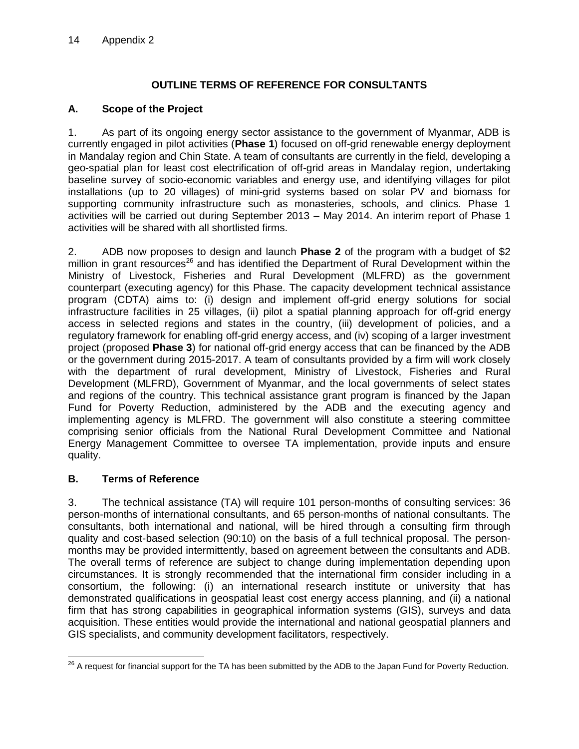## **OUTLINE TERMS OF REFERENCE FOR CONSULTANTS**

### **A. Scope of the Project**

1. As part of its ongoing energy sector assistance to the government of Myanmar, ADB is currently engaged in pilot activities (**Phase 1**) focused on off-grid renewable energy deployment in Mandalay region and Chin State. A team of consultants are currently in the field, developing a geo-spatial plan for least cost electrification of off-grid areas in Mandalay region, undertaking baseline survey of socio-economic variables and energy use, and identifying villages for pilot installations (up to 20 villages) of mini-grid systems based on solar PV and biomass for supporting community infrastructure such as monasteries, schools, and clinics. Phase 1 activities will be carried out during September 2013 – May 2014. An interim report of Phase 1 activities will be shared with all shortlisted firms.

2. ADB now proposes to design and launch **Phase 2** of the program with a budget of \$2 million in grant resources<sup>26</sup> and has identified the Department of Rural Development within the Ministry of Livestock, Fisheries and Rural Development (MLFRD) as the government counterpart (executing agency) for this Phase. The capacity development technical assistance program (CDTA) aims to: (i) design and implement off-grid energy solutions for social infrastructure facilities in 25 villages, (ii) pilot a spatial planning approach for off-grid energy access in selected regions and states in the country, (iii) development of policies, and a regulatory framework for enabling off-grid energy access, and (iv) scoping of a larger investment project (proposed **Phase 3**) for national off-grid energy access that can be financed by the ADB or the government during 2015-2017. A team of consultants provided by a firm will work closely with the department of rural development, Ministry of Livestock, Fisheries and Rural Development (MLFRD), Government of Myanmar, and the local governments of select states and regions of the country. This technical assistance grant program is financed by the Japan Fund for Poverty Reduction, administered by the ADB and the executing agency and implementing agency is MLFRD. The government will also constitute a steering committee comprising senior officials from the National Rural Development Committee and National Energy Management Committee to oversee TA implementation, provide inputs and ensure quality.

## **B. Terms of Reference**

3. The technical assistance (TA) will require 101 person-months of consulting services: 36 person-months of international consultants, and 65 person-months of national consultants. The consultants, both international and national, will be hired through a consulting firm through quality and cost-based selection (90:10) on the basis of a full technical proposal. The personmonths may be provided intermittently, based on agreement between the consultants and ADB. The overall terms of reference are subject to change during implementation depending upon circumstances. It is strongly recommended that the international firm consider including in a consortium, the following: (i) an international research institute or university that has demonstrated qualifications in geospatial least cost energy access planning, and (ii) a national firm that has strong capabilities in geographical information systems (GIS), surveys and data acquisition. These entities would provide the international and national geospatial planners and GIS specialists, and community development facilitators, respectively.

 $\overline{a}$  $^{26}$  A request for financial support for the TA has been submitted by the ADB to the Japan Fund for Poverty Reduction.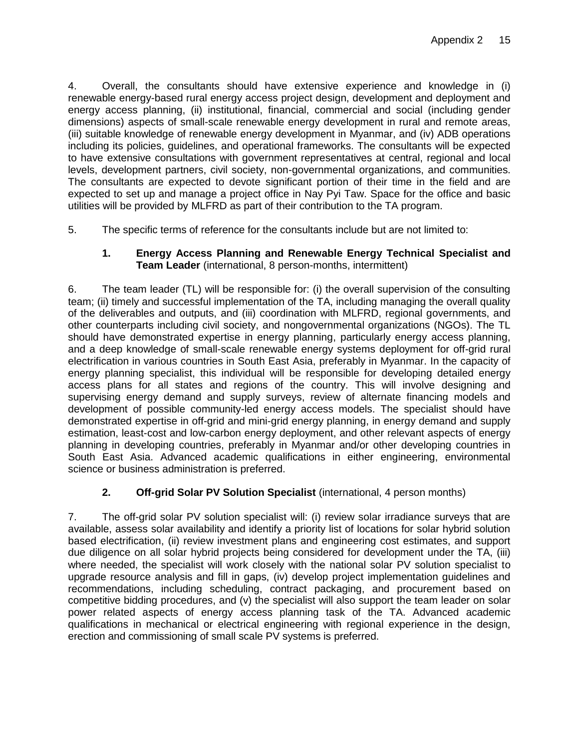4. Overall, the consultants should have extensive experience and knowledge in (i) renewable energy-based rural energy access project design, development and deployment and energy access planning, (ii) institutional, financial, commercial and social (including gender dimensions) aspects of small-scale renewable energy development in rural and remote areas, (iii) suitable knowledge of renewable energy development in Myanmar, and (iv) ADB operations including its policies, guidelines, and operational frameworks. The consultants will be expected to have extensive consultations with government representatives at central, regional and local levels, development partners, civil society, non-governmental organizations, and communities. The consultants are expected to devote significant portion of their time in the field and are expected to set up and manage a project office in Nay Pyi Taw. Space for the office and basic utilities will be provided by MLFRD as part of their contribution to the TA program.

5. The specific terms of reference for the consultants include but are not limited to:

### **1. Energy Access Planning and Renewable Energy Technical Specialist and Team Leader** (international, 8 person-months, intermittent)

6. The team leader (TL) will be responsible for: (i) the overall supervision of the consulting team; (ii) timely and successful implementation of the TA, including managing the overall quality of the deliverables and outputs, and (iii) coordination with MLFRD, regional governments, and other counterparts including civil society, and nongovernmental organizations (NGOs). The TL should have demonstrated expertise in energy planning, particularly energy access planning, and a deep knowledge of small-scale renewable energy systems deployment for off-grid rural electrification in various countries in South East Asia, preferably in Myanmar. In the capacity of energy planning specialist, this individual will be responsible for developing detailed energy access plans for all states and regions of the country. This will involve designing and supervising energy demand and supply surveys, review of alternate financing models and development of possible community-led energy access models. The specialist should have demonstrated expertise in off-grid and mini-grid energy planning, in energy demand and supply estimation, least-cost and low-carbon energy deployment, and other relevant aspects of energy planning in developing countries, preferably in Myanmar and/or other developing countries in South East Asia. Advanced academic qualifications in either engineering, environmental science or business administration is preferred.

## **2. Off-grid Solar PV Solution Specialist** (international, 4 person months)

7. The off-grid solar PV solution specialist will: (i) review solar irradiance surveys that are available, assess solar availability and identify a priority list of locations for solar hybrid solution based electrification, (ii) review investment plans and engineering cost estimates, and support due diligence on all solar hybrid projects being considered for development under the TA, (iii) where needed, the specialist will work closely with the national solar PV solution specialist to upgrade resource analysis and fill in gaps, (iv) develop project implementation guidelines and recommendations, including scheduling, contract packaging, and procurement based on competitive bidding procedures, and (v) the specialist will also support the team leader on solar power related aspects of energy access planning task of the TA. Advanced academic qualifications in mechanical or electrical engineering with regional experience in the design, erection and commissioning of small scale PV systems is preferred.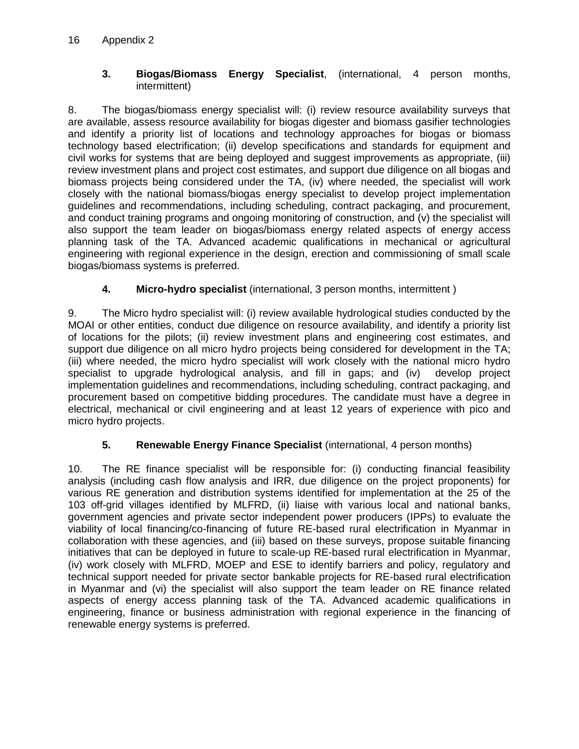### **3. Biogas/Biomass Energy Specialist**, (international, 4 person months, intermittent)

8. The biogas/biomass energy specialist will: (i) review resource availability surveys that are available, assess resource availability for biogas digester and biomass gasifier technologies and identify a priority list of locations and technology approaches for biogas or biomass technology based electrification; (ii) develop specifications and standards for equipment and civil works for systems that are being deployed and suggest improvements as appropriate, (iii) review investment plans and project cost estimates, and support due diligence on all biogas and biomass projects being considered under the TA, (iv) where needed, the specialist will work closely with the national biomass/biogas energy specialist to develop project implementation guidelines and recommendations, including scheduling, contract packaging, and procurement, and conduct training programs and ongoing monitoring of construction, and (v) the specialist will also support the team leader on biogas/biomass energy related aspects of energy access planning task of the TA. Advanced academic qualifications in mechanical or agricultural engineering with regional experience in the design, erection and commissioning of small scale biogas/biomass systems is preferred.

# **4. Micro-hydro specialist** (international, 3 person months, intermittent )

9. The Micro hydro specialist will: (i) review available hydrological studies conducted by the MOAI or other entities, conduct due diligence on resource availability, and identify a priority list of locations for the pilots; (ii) review investment plans and engineering cost estimates, and support due diligence on all micro hydro projects being considered for development in the TA; (iii) where needed, the micro hydro specialist will work closely with the national micro hydro specialist to upgrade hydrological analysis, and fill in gaps; and (iv) develop project implementation guidelines and recommendations, including scheduling, contract packaging, and procurement based on competitive bidding procedures. The candidate must have a degree in electrical, mechanical or civil engineering and at least 12 years of experience with pico and micro hydro projects.

# **5. Renewable Energy Finance Specialist** (international, 4 person months)

10. The RE finance specialist will be responsible for: (i) conducting financial feasibility analysis (including cash flow analysis and IRR, due diligence on the project proponents) for various RE generation and distribution systems identified for implementation at the 25 of the 103 off-grid villages identified by MLFRD, (ii) liaise with various local and national banks, government agencies and private sector independent power producers (IPPs) to evaluate the viability of local financing/co-financing of future RE-based rural electrification in Myanmar in collaboration with these agencies, and (iii) based on these surveys, propose suitable financing initiatives that can be deployed in future to scale-up RE-based rural electrification in Myanmar, (iv) work closely with MLFRD, MOEP and ESE to identify barriers and policy, regulatory and technical support needed for private sector bankable projects for RE-based rural electrification in Myanmar and (vi) the specialist will also support the team leader on RE finance related aspects of energy access planning task of the TA. Advanced academic qualifications in engineering, finance or business administration with regional experience in the financing of renewable energy systems is preferred.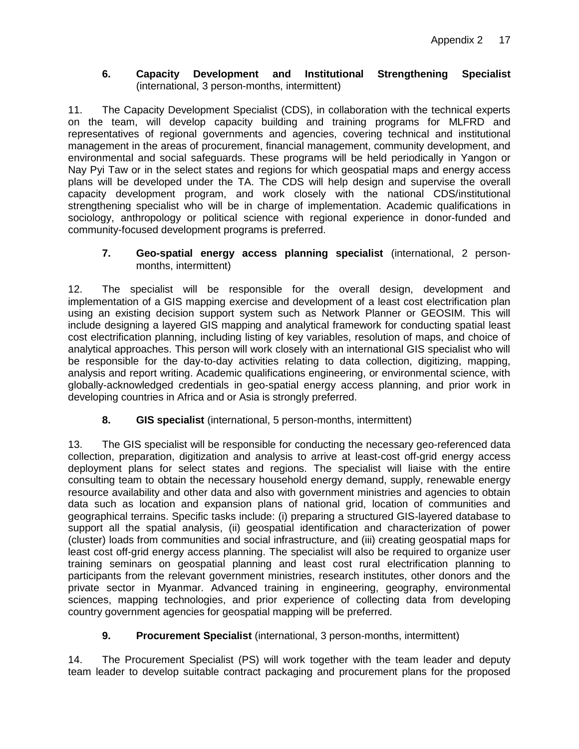### **6. Capacity Development and Institutional Strengthening Specialist**  (international, 3 person-months, intermittent)

11. The Capacity Development Specialist (CDS), in collaboration with the technical experts on the team, will develop capacity building and training programs for MLFRD and representatives of regional governments and agencies, covering technical and institutional management in the areas of procurement, financial management, community development, and environmental and social safeguards. These programs will be held periodically in Yangon or Nay Pyi Taw or in the select states and regions for which geospatial maps and energy access plans will be developed under the TA. The CDS will help design and supervise the overall capacity development program, and work closely with the national CDS/institutional strengthening specialist who will be in charge of implementation. Academic qualifications in sociology, anthropology or political science with regional experience in donor-funded and community-focused development programs is preferred.

### **7. Geo-spatial energy access planning specialist** (international, 2 personmonths, intermittent)

12. The specialist will be responsible for the overall design, development and implementation of a GIS mapping exercise and development of a least cost electrification plan using an existing decision support system such as Network Planner or GEOSIM. This will include designing a layered GIS mapping and analytical framework for conducting spatial least cost electrification planning, including listing of key variables, resolution of maps, and choice of analytical approaches. This person will work closely with an international GIS specialist who will be responsible for the day-to-day activities relating to data collection, digitizing, mapping, analysis and report writing. Academic qualifications engineering, or environmental science, with globally-acknowledged credentials in geo-spatial energy access planning, and prior work in developing countries in Africa and or Asia is strongly preferred.

# **8. GIS specialist** (international, 5 person-months, intermittent)

13. The GIS specialist will be responsible for conducting the necessary geo-referenced data collection, preparation, digitization and analysis to arrive at least-cost off-grid energy access deployment plans for select states and regions. The specialist will liaise with the entire consulting team to obtain the necessary household energy demand, supply, renewable energy resource availability and other data and also with government ministries and agencies to obtain data such as location and expansion plans of national grid, location of communities and geographical terrains. Specific tasks include: (i) preparing a structured GIS-layered database to support all the spatial analysis, (ii) geospatial identification and characterization of power (cluster) loads from communities and social infrastructure, and (iii) creating geospatial maps for least cost off-grid energy access planning. The specialist will also be required to organize user training seminars on geospatial planning and least cost rural electrification planning to participants from the relevant government ministries, research institutes, other donors and the private sector in Myanmar. Advanced training in engineering, geography, environmental sciences, mapping technologies, and prior experience of collecting data from developing country government agencies for geospatial mapping will be preferred.

# **9. Procurement Specialist** (international, 3 person-months, intermittent)

14. The Procurement Specialist (PS) will work together with the team leader and deputy team leader to develop suitable contract packaging and procurement plans for the proposed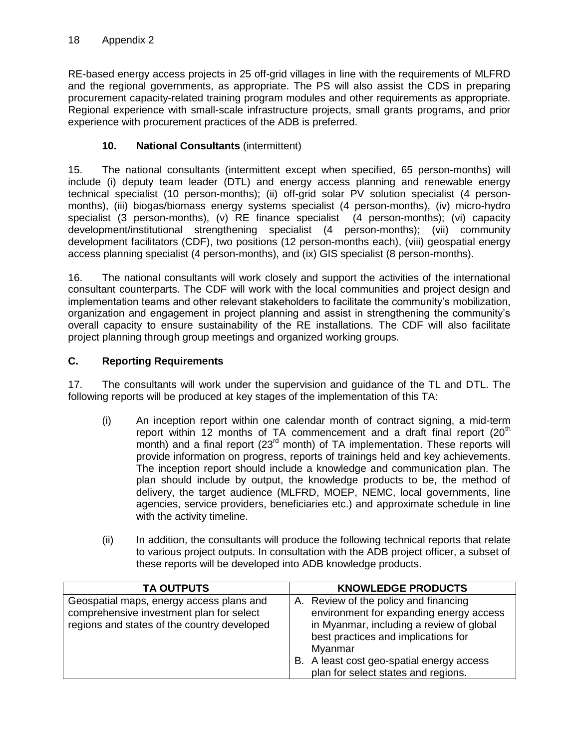RE-based energy access projects in 25 off-grid villages in line with the requirements of MLFRD and the regional governments, as appropriate. The PS will also assist the CDS in preparing procurement capacity-related training program modules and other requirements as appropriate. Regional experience with small-scale infrastructure projects, small grants programs, and prior experience with procurement practices of the ADB is preferred.

## **10. National Consultants** (intermittent)

15. The national consultants (intermittent except when specified, 65 person-months) will include (i) deputy team leader (DTL) and energy access planning and renewable energy technical specialist (10 person-months); (ii) off-grid solar PV solution specialist (4 personmonths), (iii) biogas/biomass energy systems specialist (4 person-months), (iv) micro-hydro specialist (3 person-months), (v) RE finance specialist (4 person-months); (vi) capacity development/institutional strengthening specialist (4 person-months); (vii) community development facilitators (CDF), two positions (12 person-months each), (viii) geospatial energy access planning specialist (4 person-months), and (ix) GIS specialist (8 person-months).

16. The national consultants will work closely and support the activities of the international consultant counterparts. The CDF will work with the local communities and project design and implementation teams and other relevant stakeholders to facilitate the community's mobilization, organization and engagement in project planning and assist in strengthening the community's overall capacity to ensure sustainability of the RE installations. The CDF will also facilitate project planning through group meetings and organized working groups.

## **C. Reporting Requirements**

17. The consultants will work under the supervision and guidance of the TL and DTL. The following reports will be produced at key stages of the implementation of this TA:

- (i) An inception report within one calendar month of contract signing, a mid-term report within 12 months of TA commencement and a draft final report  $(20<sup>th</sup>$ month) and a final report (23<sup>rd</sup> month) of TA implementation. These reports will provide information on progress, reports of trainings held and key achievements. The inception report should include a knowledge and communication plan. The plan should include by output, the knowledge products to be, the method of delivery, the target audience (MLFRD, MOEP, NEMC, local governments, line agencies, service providers, beneficiaries etc.) and approximate schedule in line with the activity timeline.
- (ii) In addition, the consultants will produce the following technical reports that relate to various project outputs. In consultation with the ADB project officer, a subset of these reports will be developed into ADB knowledge products.

| <b>TA OUTPUTS</b>                                                                                                                   | <b>KNOWLEDGE PRODUCTS</b>                                                                                                                                                                                                                                          |
|-------------------------------------------------------------------------------------------------------------------------------------|--------------------------------------------------------------------------------------------------------------------------------------------------------------------------------------------------------------------------------------------------------------------|
| Geospatial maps, energy access plans and<br>comprehensive investment plan for select<br>regions and states of the country developed | A. Review of the policy and financing<br>environment for expanding energy access<br>in Myanmar, including a review of global<br>best practices and implications for<br>Myanmar<br>B. A least cost geo-spatial energy access<br>plan for select states and regions. |